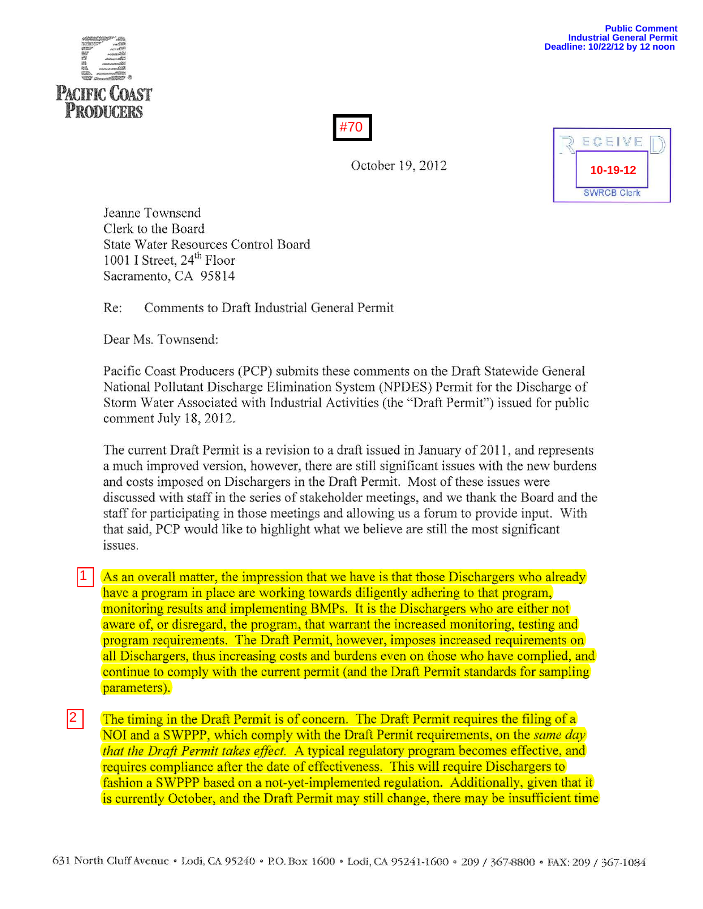



October 19, 2012



Jeanne Townsend Clerk to the Board State Water Resources Control Board 1001 I Street,  $24<sup>th</sup>$  Floor Sacramento, CA 95814

Re: Comments to Draft Industrial General Permit

Dear Ms. Townsend:

Pacific Coast Producers (PCP) submits these comments on the Draft Statewide General National Pollutant Discharge Elimination System (NPDES) Permit for the Discharge of Storm Water Associated with Industrial Activities (the "Draft Permit") issued for public comment July 18, 2012.

The current Draft Permit is a revision to a draft issued in January of 2011, and represents a much improved version, however, there are still significant issues with the new burdens and costs imposed on Dischargers in the Draft Permit. Most of these issues were discussed with staff in the series of stakeholder meetings, and we thank the Board and the staff for participating in those meetings and allowing us a forum to provide input. With that said, PCP would like to highlight what we believe are still the most significant issues.

As an overall matter, the impression that we have is that those Dischargers who already have a program in place are working towards diligently adhering to that program, monitoring results and implementing BMPs. It is the Dischargers who are either not aware of, or disregard, the program, that warrant the increased monitoring, testing and program requirements. The Draft Permit, however, imposes increased requirements on all Dischargers, thus increasing costs and burdens even on those who have complied, and continue to comply with the current permit (and the Draft Permit standards for sampling parameters). ا 1

The timing in the Draft Permit is of concern. The Draft Permit requires the filing of a NOI and a SWPPP, which comply with the Draft Permit requirements, on the *same day that the Draft Permit takes effect.* A typical regulatory program becomes effective, and requires compliance after the date of effectiveness. This will require Dischargers to fashion a SWPPP based on a not-yet-implemented regulation. Additionally, given that it is currently October, and the Draft Permit may still change, there may be insufficient time 2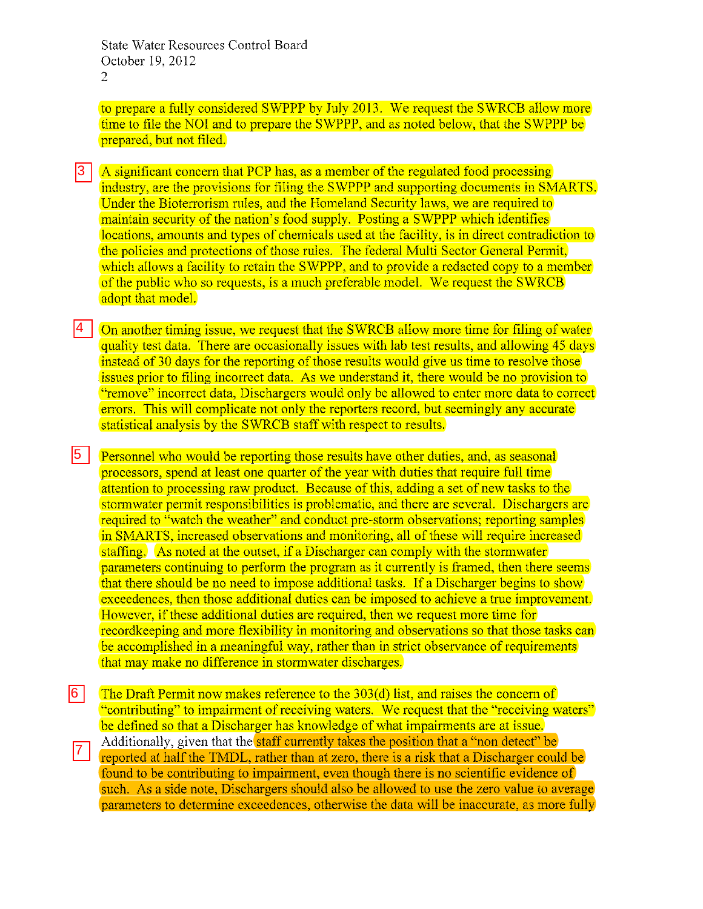to prepare a fully considered SWPPP by July 2013. We request the SWRCB allow more time to file the NOI and to prepare the SWPPP, and as noted below, that the SWPPP be prepared, but not filed.

- A significant concern that PCP has, as a member of the regulated food processing industry, are the provisions for filing the SWPPP and supporting documents in SMARTS. Under the Bioterrorism rules, and the Homeland Security laws, we are required to maintain security of the nation's food supply. Posting a SWPPP which identifies locations, amounts and types of chemicals used at the facility, is in direct contradiction to the policies and protections of those rules. The federal Multi Sector General Permit, which allows a facility to retain the SWPPP, and to provide a redacted copy to a member of the public who so requests, is a much preferable model. We request the SWRCB adopt that model. 3
- On another timing issue, we request that the SWRCB allow more time for filing of water quality test data. There are occasionally issues with lab test results, and allowing 45 days instead of 30 days for the reporting of those results would give us time to resolve those issues prior to filing incorrect data. As we understand it, there would be no provision to "remove" incorrect data, Dischargers would only be allowed to enter more data to correct errors. This will complicate not only the reporters record, but seemingly any accurate statistical analysis by the SWRCB staff with respect to results. 14 I

Personnel who would be reporting those results have other duties, and, as seasonal processors, spend at least one quarter of the year with duties that require full time attention to processing raw product. Because of this, adding a set of new tasks to the stormwater permit responsibilities is problematic, and there are several. Dischargers are required to "watch the weather" and conduct pre-storm observations; reporting samples in SMARTS, increased observations and monitoring, all of these will require increased staffing. As noted at the outset, if a Discharger can comply with the stormwater parameters continuing to perform the program as it currently is framed, then there seems that there should be no need to impose additional tasks. If a Discharger begins to show exceedences, then those additional duties can be imposed to achieve a true improvement. However, if these additional duties are required, then we request more time for recordkeeping and more flexibility in monitoring and observations so that those tasks can be accomplished in a meaningful way, rather than in strict observance of requirements that may make no difference in stormwater discharges.  $|5|$ 

The Draft Permit now makes reference to the 303(d) list, and raises the concern of "contributing" to impairment of receiving waters. We request that the "receiving waters" be defined so that a Discharger has knowledge of what impairments are at issue. Additionally, given that the **staff currently takes the position that a "non detect"** be reported at half the TMDL, rather than at zero, there is a risk that a Discharger could be found to be contributing to impairment, even though there is no scientific evidence of such. As a side note, Dischargers should also be allowed to use the zero value to average parameters to determine exceedences, otherwise the data will be inaccurate, as more fully 6  $|7|$